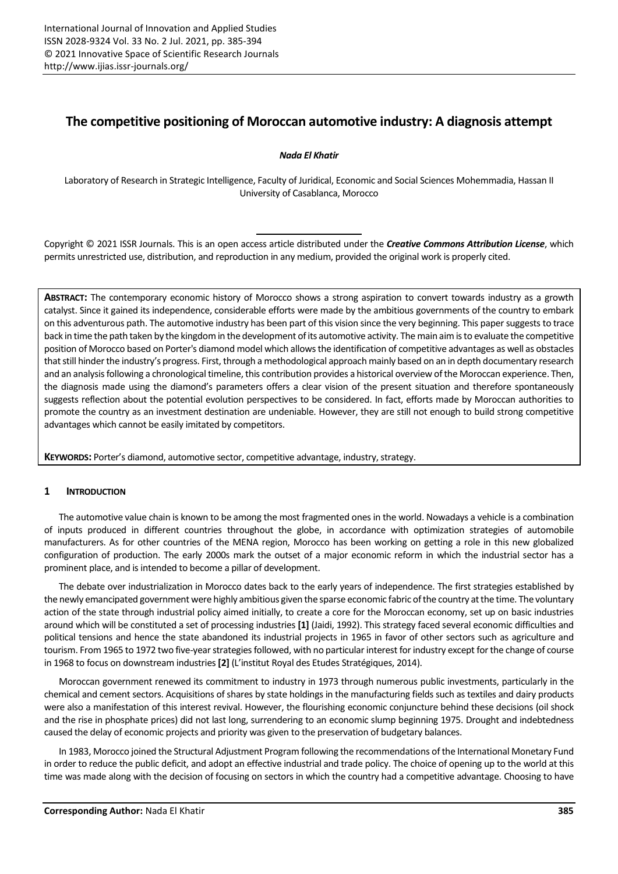# **The competitive positioning of Moroccan automotive industry: A diagnosis attempt**

# *Nada El Khatir*

Laboratory of Research in Strategic Intelligence, Faculty of Juridical, Economic and Social Sciences Mohemmadia, Hassan II University of Casablanca, Morocco

Copyright © 2021 ISSR Journals. This is an open access article distributed under the *Creative Commons Attribution License*, which permits unrestricted use, distribution, and reproduction in any medium, provided the original work is properly cited.

**ABSTRACT:** The contemporary economic history of Morocco shows a strong aspiration to convert towards industry as a growth catalyst. Since it gained its independence, considerable efforts were made by the ambitious governments of the country to embark on this adventurous path. The automotive industry has been part of this vision since the very beginning. This papersuggests to trace back in time the path taken by the kingdom in the development of its automotive activity. The main aim is to evaluate the competitive position of Morocco based on Porter's diamond model which allowsthe identification of competitive advantages as well as obstacles that still hinder the industry's progress. First, through a methodological approach mainly based on an in depth documentary research and an analysisfollowing a chronological timeline, this contribution provides a historical overview of the Moroccan experience. Then, the diagnosis made using the diamond's parameters offers a clear vision of the present situation and therefore spontaneously suggests reflection about the potential evolution perspectives to be considered. In fact, efforts made by Moroccan authorities to promote the country as an investment destination are undeniable. However, they are still not enough to build strong competitive advantages which cannot be easily imitated by competitors.

**KEYWORDS:** Porter's diamond, automotive sector, competitive advantage, industry, strategy.

# **1 INTRODUCTION**

The automotive value chain is known to be among the most fragmented ones in the world. Nowadays a vehicle is a combination of inputs produced in different countries throughout the globe, in accordance with optimization strategies of automobile manufacturers. As for other countries of the MENA region, Morocco has been working on getting a role in this new globalized configuration of production. The early 2000s mark the outset of a major economic reform in which the industrial sector has a prominent place, and is intended to become a pillar of development.

The debate over industrialization in Morocco dates back to the early years of independence. The first strategies established by the newly emancipated government were highly ambitious given the sparse economic fabric of the country at the time. The voluntary action of the state through industrial policy aimed initially, to create a core for the Moroccan economy, set up on basic industries around which will be constituted a set of processing industries **[1]** (Jaidi, 1992). This strategy faced several economic difficulties and political tensions and hence the state abandoned its industrial projects in 1965 in favor of other sectors such as agriculture and tourism. From 1965 to 1972 two five-year strategies followed, with no particular interest forindustry except for the change of course in 1968 to focus on downstream industries**[2]** (L'institut Royal des Etudes Stratégiques, 2014).

Moroccan government renewed its commitment to industry in 1973 through numerous public investments, particularly in the chemical and cement sectors. Acquisitions of shares by state holdings in the manufacturing fields such as textiles and dairy products were also a manifestation of this interest revival. However, the flourishing economic conjuncture behind these decisions (oil shock and the rise in phosphate prices) did not last long, surrendering to an economic slump beginning 1975. Drought and indebtedness caused the delay of economic projects and priority was given to the preservation of budgetary balances.

In 1983, Morocco joined the Structural Adjustment Program following the recommendations of the International Monetary Fund in order to reduce the public deficit, and adopt an effective industrial and trade policy. The choice of opening up to the world at this time was made along with the decision of focusing on sectors in which the country had a competitive advantage. Choosing to have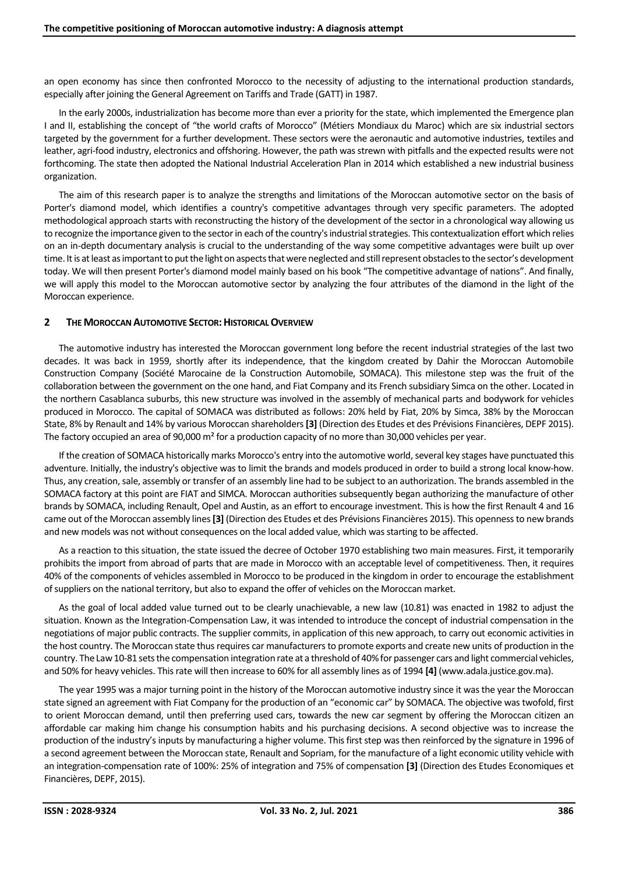an open economy has since then confronted Morocco to the necessity of adjusting to the international production standards, especially after joining the General Agreement on Tariffs and Trade (GATT) in 1987.

In the early 2000s, industrialization has become more than ever a priority for the state, which implemented the Emergence plan I and II, establishing the concept of "the world crafts of Morocco" (Métiers Mondiaux du Maroc) which are six industrial sectors targeted by the government for a further development. These sectors were the aeronautic and automotive industries, textiles and leather, agri-food industry, electronics and offshoring. However, the path wasstrewn with pitfalls and the expected results were not forthcoming. The state then adopted the National Industrial Acceleration Plan in 2014 which established a new industrial business organization.

The aim of this research paper is to analyze the strengths and limitations of the Moroccan automotive sector on the basis of Porter's diamond model, which identifies a country's competitive advantages through very specific parameters. The adopted methodological approach starts with reconstructing the history of the development of the sector in a chronological way allowing us to recognize the importance given to the sectorin each of the country's industrial strategies. This contextualization effort which relies on an in-depth documentary analysis is crucial to the understanding of the way some competitive advantages were built up over time. It is at least as important to put the light on aspects that were neglected and still represent obstacles to the sector's development today. We will then present Porter's diamond model mainly based on his book "The competitive advantage of nations". And finally, we will apply this model to the Moroccan automotive sector by analyzing the four attributes of the diamond in the light of the Moroccan experience.

# **2 THE MOROCCAN AUTOMOTIVE SECTOR:HISTORICAL OVERVIEW**

The automotive industry has interested the Moroccan government long before the recent industrial strategies of the last two decades. It was back in 1959, shortly after its independence, that the kingdom created by Dahir the Moroccan Automobile Construction Company (Société Marocaine de la Construction Automobile, SOMACA). This milestone step was the fruit of the collaboration between the government on the one hand, and Fiat Company and its French subsidiary Simca on the other. Located in the northern Casablanca suburbs, this new structure was involved in the assembly of mechanical parts and bodywork for vehicles produced in Morocco. The capital of SOMACA was distributed as follows: 20% held by Fiat, 20% by Simca, 38% by the Moroccan State, 8% by Renault and 14% by various Moroccan shareholders**[3]** (Direction des Etudes et des Prévisions Financières, DEPF 2015). The factory occupied an area of 90,000  $m<sup>2</sup>$  for a production capacity of no more than 30,000 vehicles per year.

If the creation of SOMACA historically marks Morocco's entry into the automotive world, several key stages have punctuated this adventure. Initially, the industry's objective was to limit the brands and models produced in order to build a strong local know-how. Thus, any creation, sale, assembly or transfer of an assembly line had to be subject to an authorization. The brands assembled in the SOMACA factory at this point are FIAT and SIMCA. Moroccan authorities subsequently began authorizing the manufacture of other brands by SOMACA, including Renault, Opel and Austin, as an effort to encourage investment. This is how the first Renault 4 and 16 came out ofthe Moroccan assembly lines**[3]** (Direction des Etudes et des Prévisions Financières 2015). This openness to new brands and new models was not without consequences on the local added value, which was starting to be affected.

As a reaction to this situation, the state issued the decree of October 1970 establishing two main measures. First, it temporarily prohibits the import from abroad of parts that are made in Morocco with an acceptable level of competitiveness. Then, it requires 40% of the components of vehicles assembled in Morocco to be produced in the kingdom in order to encourage the establishment of suppliers on the national territory, but also to expand the offer of vehicles on the Moroccan market.

As the goal of local added value turned out to be clearly unachievable, a new law (10.81) was enacted in 1982 to adjust the situation. Known as the Integration-Compensation Law, it was intended to introduce the concept of industrial compensation in the negotiations of major public contracts. The supplier commits, in application of this new approach, to carry out economic activities in the host country. The Moroccan state thus requires car manufacturers to promote exports and create new units of production in the country. The Law 10-81 sets the compensation integration rate at a threshold of 40% for passenger cars and light commercial vehicles, and 50% for heavy vehicles. This rate will then increase to 60% for all assembly lines as of 1994 **[4]** (www.adala.justice.gov.ma).

The year 1995 was a major turning point in the history of the Moroccan automotive industry since it was the year the Moroccan state signed an agreement with Fiat Company for the production of an "economic car" by SOMACA. The objective was twofold, first to orient Moroccan demand, until then preferring used cars, towards the new car segment by offering the Moroccan citizen an affordable car making him change his consumption habits and his purchasing decisions. A second objective was to increase the production of the industry's inputs by manufacturing a higher volume. This first step was then reinforced by the signature in 1996 of a second agreement between the Moroccan state, Renault and Sopriam, for the manufacture of a light economic utility vehicle with an integration-compensation rate of 100%: 25% of integration and 75% of compensation **[3]** (Direction des Etudes Economiques et Financières, DEPF, 2015).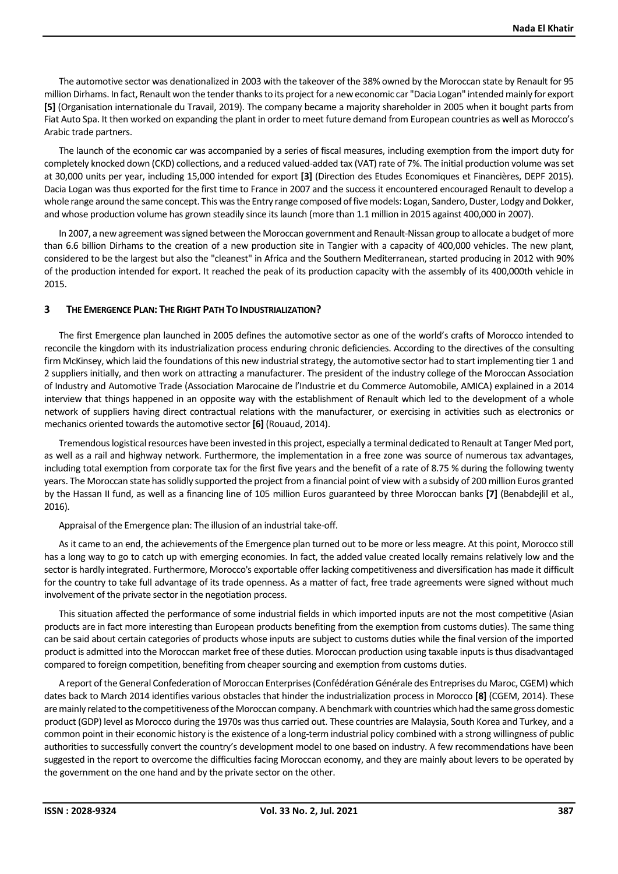The automotive sector was denationalized in 2003 with the takeover of the 38% owned by the Moroccan state by Renault for 95 million Dirhams. In fact, Renault won the tender thanks to its project for a new economic car "Dacia Logan" intended mainly for export **[5]** (Organisation internationale du Travail, 2019). The company became a majority shareholder in 2005 when it bought parts from Fiat Auto Spa. It then worked on expanding the plant in order to meet future demand from European countries as well as Morocco's Arabic trade partners.

The launch of the economic car was accompanied by a series of fiscal measures, including exemption from the import duty for completely knocked down (CKD) collections, and a reduced valued-added tax (VAT) rate of 7%. The initial production volume was set at 30,000 units per year, including 15,000 intended for export **[3]** (Direction des Etudes Economiques et Financières, DEPF 2015). Dacia Logan was thus exported for the first time to France in 2007 and the success it encountered encouraged Renault to develop a whole range around the same concept. This wasthe Entry range composed offive models: Logan, Sandero, Duster, Lodgy and Dokker, and whose production volume has grown steadily since its launch (more than 1.1 million in 2015 against 400,000 in 2007).

In 2007, a new agreement was signed between the Moroccan government and Renault-Nissan group to allocate a budget of more than 6.6 billion Dirhams to the creation of a new production site in Tangier with a capacity of 400,000 vehicles. The new plant, considered to be the largest but also the "cleanest" in Africa and the Southern Mediterranean, started producing in 2012 with 90% of the production intended for export. It reached the peak of its production capacity with the assembly of its 400,000th vehicle in 2015.

# **3 THE EMERGENCE PLAN: THE RIGHT PATH TO INDUSTRIALIZATION?**

The first Emergence plan launched in 2005 defines the automotive sector as one of the world's crafts of Morocco intended to reconcile the kingdom with its industrialization process enduring chronic deficiencies. According to the directives of the consulting firm McKinsey, which laid the foundations of this new industrial strategy, the automotive sector had to start implementing tier 1 and 2 suppliers initially, and then work on attracting a manufacturer. The president of the industry college of the Moroccan Association of Industry and Automotive Trade (Association Marocaine de l'Industrie et du Commerce Automobile, AMICA) explained in a 2014 interview that things happened in an opposite way with the establishment of Renault which led to the development of a whole network of suppliers having direct contractual relations with the manufacturer, or exercising in activities such as electronics or mechanics oriented towards the automotive sector **[6]** (Rouaud, 2014).

Tremendouslogistical resources have been invested in this project, especially a terminal dedicated to Renault at Tanger Med port, as well as a rail and highway network. Furthermore, the implementation in a free zone was source of numerous tax advantages, including total exemption from corporate tax for the first five years and the benefit of a rate of 8.75 % during the following twenty years. The Moroccan state has solidly supported the project from a financial point of view with a subsidy of 200 million Euros granted by the Hassan II fund, as well as a financing line of 105 million Euros guaranteed by three Moroccan banks **[7]** (Benabdejlil et al., 2016).

Appraisal of the Emergence plan: The illusion of an industrial take-off.

As it came to an end, the achievements of the Emergence plan turned out to be more or less meagre. At this point, Morocco still has a long way to go to catch up with emerging economies. In fact, the added value created locally remains relatively low and the sector is hardly integrated. Furthermore, Morocco's exportable offer lacking competitiveness and diversification has made it difficult for the country to take full advantage of its trade openness. As a matter of fact, free trade agreements were signed without much involvement of the private sector in the negotiation process.

This situation affected the performance of some industrial fields in which imported inputs are not the most competitive (Asian products are in fact more interesting than European products benefiting from the exemption from customs duties). The same thing can be said about certain categories of products whose inputs are subject to customs duties while the final version of the imported product is admitted into the Moroccan market free of these duties. Moroccan production using taxable inputs is thus disadvantaged compared to foreign competition, benefiting from cheaper sourcing and exemption from customs duties.

A report of the General Confederation of Moroccan Enterprises(Confédération Générale des Entreprises du Maroc, CGEM) which dates back to March 2014 identifies various obstacles that hinder the industrialization process in Morocco **[8]** (CGEM, 2014). These aremainly related to the competitiveness of the Moroccan company. A benchmark with countries which had the same gross domestic product (GDP) level as Morocco during the 1970s was thus carried out. These countries are Malaysia, South Korea and Turkey, and a common point in their economic history is the existence of a long-term industrial policy combined with a strong willingness of public authorities to successfully convert the country's development model to one based on industry. A few recommendations have been suggested in the report to overcome the difficulties facing Moroccan economy, and they are mainly about levers to be operated by the government on the one hand and by the private sector on the other.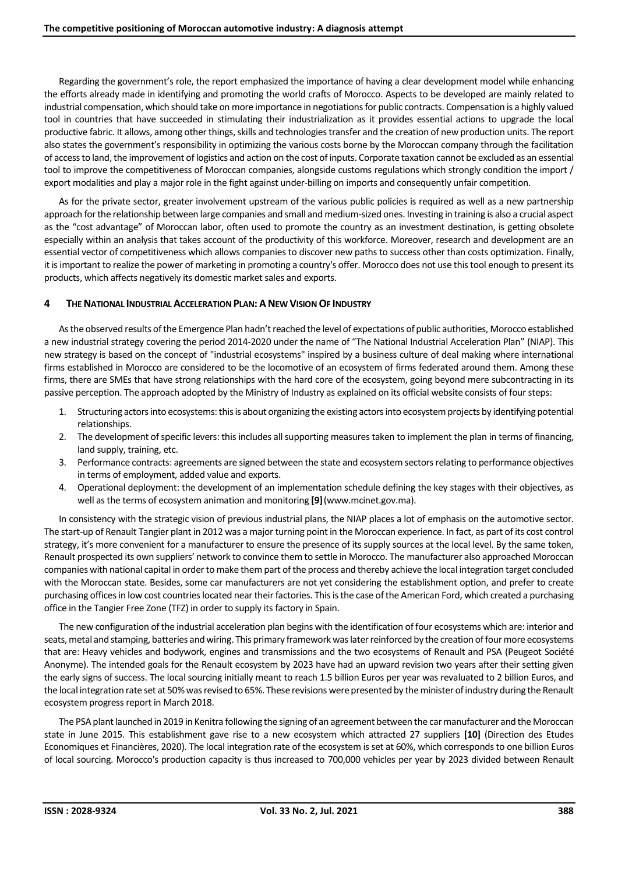Regarding the government's role, the report emphasized the importance of having a clear development model while enhancing the efforts already made in identifying and promoting the world crafts of Morocco. Aspects to be developed are mainly related to industrial compensation, which should take on more importance in negotiations for public contracts. Compensation is a highly valued tool in countries that have succeeded in stimulating their industrialization as it provides essential actions to upgrade the local productive fabric. It allows, among other things, skills and technologies transfer and the creation of new production units. The report also states the government's responsibility in optimizing the various costs borne by the Moroccan company through the facilitation of access to land, the improvement of logistics and action on the cost of inputs. Corporate taxation cannot be excluded as an essential tool to improve the competitiveness of Moroccan companies, alongside customs regulations which strongly condition the import / export modalities and play a major role in the fight against under-billing on imports and consequently unfair competition.

As for the private sector, greater involvement upstream of the various public policies is required as well as a new partnership approach for the relationship between large companies and small and medium-sized ones. Investing in training is also a crucial aspect as the "cost advantage" of Moroccan labor, often used to promote the country as an investment destination, is getting obsolete especially within an analysis that takes account of the productivity of this workforce. Moreover, research and development are an essential vector of competitiveness which allows companies to discover new paths to success other than costs optimization. Finally, it is important to realize the power of marketing in promoting a country's offer. Morocco does not use this tool enough to present its products, which affects negatively its domestic market sales and exports.

## **4 THE NATIONAL INDUSTRIAL ACCELERATION PLAN:ANEW VISION OF INDUSTRY**

As the observed results of the Emergence Plan hadn't reached the level of expectations of public authorities, Morocco established a new industrial strategy covering the period 2014-2020 under the name of "The National Industrial Acceleration Plan" (NIAP). This new strategy is based on the concept of "industrial ecosystems" inspired by a business culture of deal making where international firms established in Morocco are considered to be the locomotive of an ecosystem of firms federated around them. Among these firms, there are SMEs that have strong relationships with the hard core of the ecosystem, going beyond mere subcontracting in its passive perception. The approach adopted by the Ministry of Industry as explained on its official website consists of four steps:

- 1. Structuring actorsinto ecosystems:this is about organizing the existing actors into ecosystem projects by identifying potential relationships.
- 2. The development of specific levers: this includes all supporting measures taken to implement the plan in terms of financing, land supply, training, etc.
- 3. Performance contracts: agreements are signed between the state and ecosystem sectors relating to performance objectives in terms of employment, added value and exports.
- 4. Operational deployment: the development of an implementation schedule defining the key stages with their objectives, as well as the terms of ecosystem animation and monitoring **[9]**(www.mcinet.gov.ma).

In consistency with the strategic vision of previous industrial plans, the NIAP places a lot of emphasis on the automotive sector. The start-up of Renault Tangier plant in 2012 was a major turning point in the Moroccan experience. In fact, as part of its cost control strategy, it's more convenient for a manufacturer to ensure the presence of its supply sources at the local level. By the same token, Renault prospected its own suppliers' network to convince them to settle in Morocco. The manufacturer also approached Moroccan companies with national capital in order to make them part ofthe process and thereby achieve the local integration target concluded with the Moroccan state. Besides, some car manufacturers are not yet considering the establishment option, and prefer to create purchasing offices in low cost countries located near their factories. This is the case of the American Ford, which created a purchasing office in the Tangier Free Zone (TFZ) in order to supply its factory in Spain.

The new configuration of the industrial acceleration plan begins with the identification of four ecosystems which are: interior and seats, metal and stamping, batteries and wiring. This primary framework was later reinforced by the creation of four more ecosystems that are: Heavy vehicles and bodywork, engines and transmissions and the two ecosystems of Renault and PSA (Peugeot Société Anonyme). The intended goals for the Renault ecosystem by 2023 have had an upward revision two years after their setting given the early signs of success. The local sourcing initially meant to reach 1.5 billion Euros per year was revaluated to 2 billion Euros, and the local integration rate set at 50% wasrevised to 65%. These revisions were presented by the minister of industry during the Renault ecosystem progress report in March 2018.

The PSA plant launched in 2019 in Kenitra following the signing of an agreement between the car manufacturer and the Moroccan state in June 2015. This establishment gave rise to a new ecosystem which attracted 27 suppliers **[10]** (Direction des Etudes Economiques et Financières, 2020). The local integration rate of the ecosystem is set at 60%, which corresponds to one billion Euros of local sourcing. Morocco's production capacity is thus increased to 700,000 vehicles per year by 2023 divided between Renault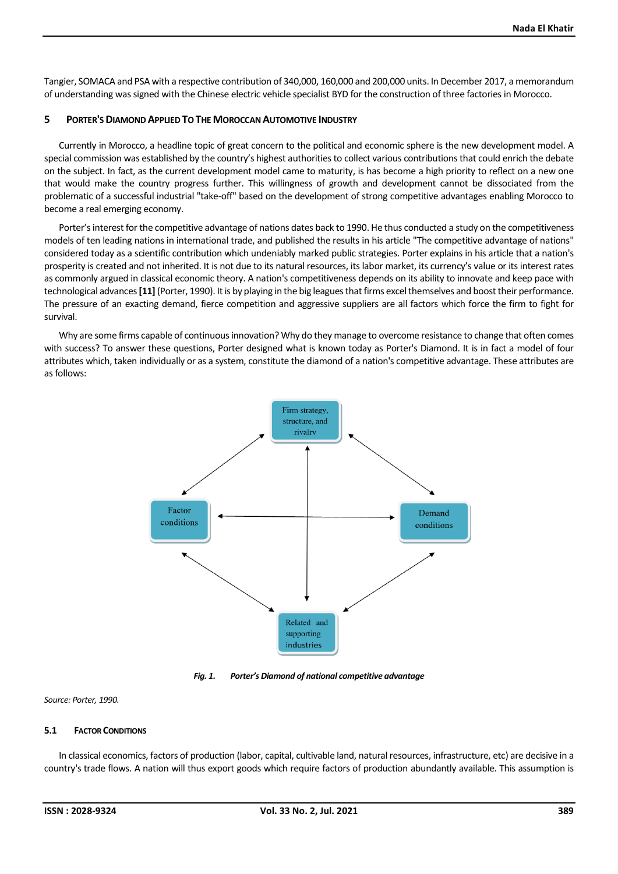Tangier, SOMACA and PSA with a respective contribution of 340,000, 160,000 and 200,000 units. In December 2017, a memorandum of understanding was signed with the Chinese electric vehicle specialist BYD for the construction of three factories in Morocco.

# **5 PORTER'S DIAMOND APPLIED TO THE MOROCCAN AUTOMOTIVE INDUSTRY**

Currently in Morocco, a headline topic of great concern to the political and economic sphere is the new development model. A special commission was established by the country's highest authorities to collect various contributions that could enrich the debate on the subject. In fact, as the current development model came to maturity, is has become a high priority to reflect on a new one that would make the country progress further. This willingness of growth and development cannot be dissociated from the problematic of a successful industrial "take-off" based on the development of strong competitive advantages enabling Morocco to become a real emerging economy.

Porter's interest for the competitive advantage of nations dates back to 1990. He thus conducted a study on the competitiveness models of ten leading nations in international trade, and published the results in his article "The competitive advantage of nations" considered today as a scientific contribution which undeniably marked public strategies. Porter explains in his article that a nation's prosperity is created and not inherited. It is not due to its natural resources, its labor market, its currency's value or its interest rates as commonly argued in classical economic theory. A nation's competitiveness depends on its ability to innovate and keep pace with technological advances**[11]** (Porter, 1990). It is by playing in the big leaguesthat firms excel themselves and boost their performance. The pressure of an exacting demand, fierce competition and aggressive suppliers are all factors which force the firm to fight for survival.

Why are some firms capable of continuous innovation? Why do they manage to overcome resistance to change that often comes with success? To answer these questions, Porter designed what is known today as Porter's Diamond. It is in fact a model of four attributes which, taken individually or as a system, constitute the diamond of a nation's competitive advantage. These attributes are as follows:



*Fig. 1. Porter's Diamond of national competitive advantage*

#### *Source: Porter, 1990.*

## **5.1 FACTOR CONDITIONS**

In classical economics, factors of production (labor, capital, cultivable land, natural resources, infrastructure, etc) are decisive in a country's trade flows. A nation will thus export goods which require factors of production abundantly available. This assumption is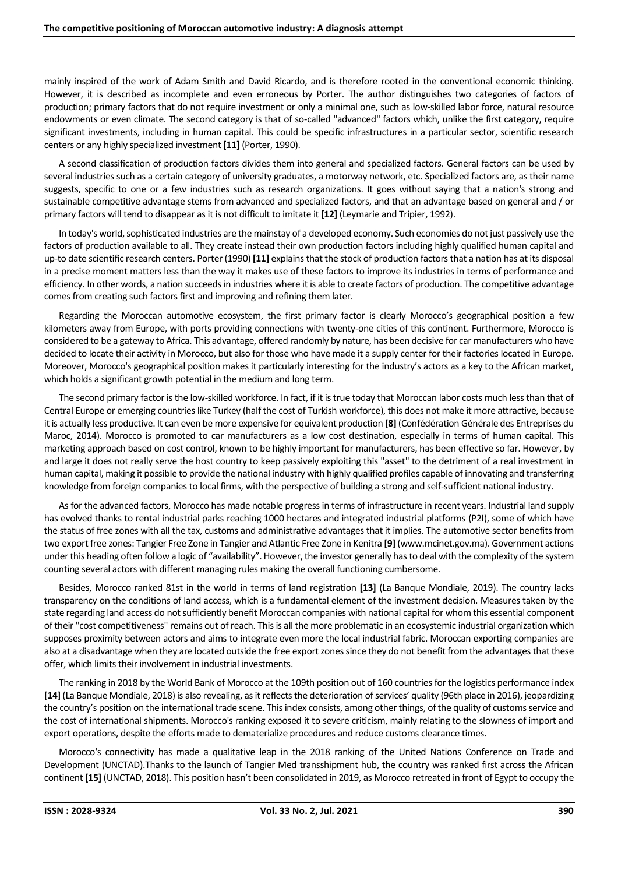mainly inspired of the work of Adam Smith and David Ricardo, and is therefore rooted in the conventional economic thinking. However, it is described as incomplete and even erroneous by Porter. The author distinguishes two categories of factors of production; primary factors that do not require investment or only a minimal one, such as low-skilled labor force, natural resource endowments or even climate. The second category is that of so-called "advanced" factors which, unlike the first category, require significant investments, including in human capital. This could be specific infrastructures in a particular sector, scientific research centers or any highly specialized investment **[11]** (Porter, 1990).

A second classification of production factors divides them into general and specialized factors. General factors can be used by several industries such as a certain category of university graduates, a motorway network, etc. Specialized factors are, as their name suggests, specific to one or a few industries such as research organizations. It goes without saying that a nation's strong and sustainable competitive advantage stems from advanced and specialized factors, and that an advantage based on general and / or primary factors will tend to disappear as it is not difficult to imitate it **[12]** (Leymarie and Tripier, 1992).

In today's world, sophisticated industries are the mainstay of a developed economy. Such economies do not just passively use the factors of production available to all. They create instead their own production factors including highly qualified human capital and up-to date scientific research centers. Porter (1990) **[11]** explains that the stock of production factors that a nation has at its disposal in a precise moment matters less than the way it makes use of these factors to improve its industries in terms of performance and efficiency. In other words, a nation succeeds in industries where it is able to create factors of production. The competitive advantage comes from creating such factors first and improving and refining them later.

Regarding the Moroccan automotive ecosystem, the first primary factor is clearly Morocco's geographical position a few kilometers away from Europe, with ports providing connections with twenty-one cities of this continent. Furthermore, Morocco is considered to be a gateway to Africa. This advantage, offered randomly by nature, has been decisive for car manufacturers who have decided to locate their activity in Morocco, but also for those who have made it a supply center for their factories located in Europe. Moreover, Morocco's geographical position makes it particularly interesting for the industry's actors as a key to the African market, which holds a significant growth potential in the medium and long term.

The second primary factor is the low-skilled workforce. In fact, if it is true today that Moroccan labor costs much less than that of Central Europe or emerging countries like Turkey (half the cost of Turkish workforce), this does not make it more attractive, because it is actually less productive. It can even be more expensive for equivalent production **[8]** (Confédération Générale des Entreprises du Maroc, 2014). Morocco is promoted to car manufacturers as a low cost destination, especially in terms of human capital. This marketing approach based on cost control, known to be highly important for manufacturers, has been effective so far. However, by and large it does not really serve the host country to keep passively exploiting this "asset" to the detriment of a real investment in human capital, making it possible to provide the national industry with highly qualified profiles capable of innovating and transferring knowledge from foreign companies to local firms, with the perspective of building a strong and self-sufficient national industry.

As for the advanced factors, Morocco has made notable progress in terms of infrastructure in recent years. Industrial land supply has evolved thanks to rental industrial parks reaching 1000 hectares and integrated industrial platforms (P2I), some of which have the status of free zones with all the tax, customs and administrative advantages that it implies. The automotive sector benefits from two export free zones: Tangier Free Zone in Tangier and Atlantic Free Zone in Kenitra **[9]** (www.mcinet.gov.ma). Government actions under this heading often follow a logic of "availability". However, the investor generally has to deal with the complexity of the system counting several actors with different managing rules making the overall functioning cumbersome.

Besides, Morocco ranked 81st in the world in terms of land registration **[13]** (La Banque Mondiale, 2019). The country lacks transparency on the conditions of land access, which is a fundamental element of the investment decision. Measures taken by the state regarding land access do not sufficiently benefit Moroccan companies with national capital for whom this essential component of their "cost competitiveness" remains out of reach. This is all the more problematic in an ecosystemic industrial organization which supposes proximity between actors and aims to integrate even more the local industrial fabric. Moroccan exporting companies are also at a disadvantage when they are located outside the free export zones since they do not benefit from the advantages that these offer, which limits their involvement in industrial investments.

The ranking in 2018 by the World Bank of Morocco at the 109th position out of 160 countries for the logistics performance index **[14]** (La Banque Mondiale, 2018) is also revealing, asit reflects the deterioration of services' quality (96th place in 2016), jeopardizing the country's position on the international trade scene. This index consists, among other things, of the quality of customs service and the cost of international shipments. Morocco's ranking exposed it to severe criticism, mainly relating to the slowness of import and export operations, despite the efforts made to dematerialize procedures and reduce customs clearance times.

Morocco's connectivity has made a qualitative leap in the 2018 ranking of the United Nations Conference on Trade and Development (UNCTAD).Thanks to the launch of Tangier Med transshipment hub, the country was ranked first across the African continent **[15]** (UNCTAD, 2018). This position hasn't been consolidated in 2019, as Morocco retreated in front of Egypt to occupy the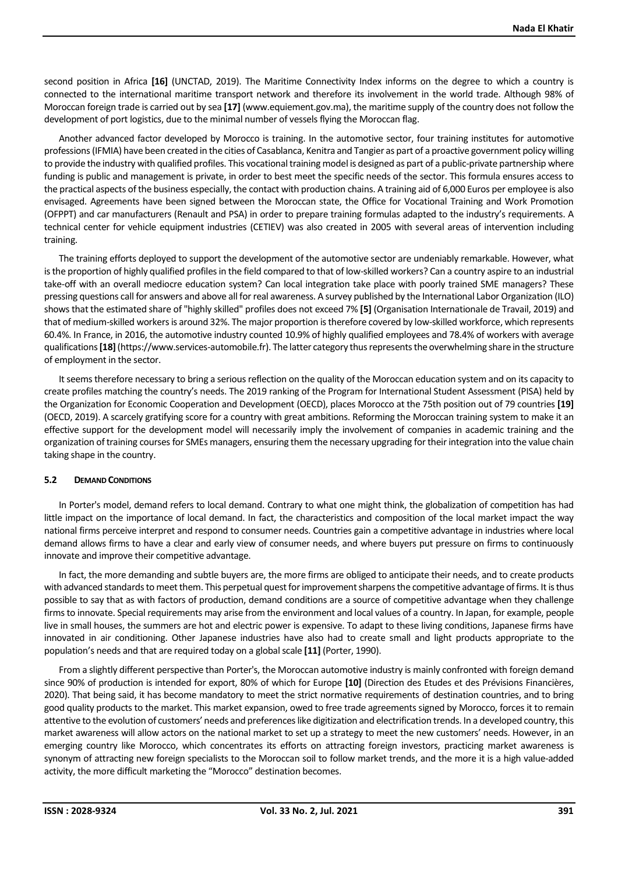second position in Africa **[16]** (UNCTAD, 2019). The Maritime Connectivity Index informs on the degree to which a country is connected to the international maritime transport network and therefore its involvement in the world trade. Although 98% of Moroccan foreign trade is carried out by sea **[17]** (www.equiement.gov.ma), the maritime supply of the country does not follow the development of port logistics, due to the minimal number of vessels flying the Moroccan flag.

Another advanced factor developed by Morocco is training. In the automotive sector, four training institutes for automotive professions(IFMIA) have been created in the cities of Casablanca, Kenitra and Tangier as part of a proactive government policy willing to provide the industry with qualified profiles. This vocational training model is designed as part of a public-private partnership where funding is public and management is private, in order to best meet the specific needs of the sector. This formula ensures access to the practical aspects of the business especially, the contact with production chains. A training aid of 6,000 Euros per employee is also envisaged. Agreements have been signed between the Moroccan state, the Office for Vocational Training and Work Promotion (OFPPT) and car manufacturers (Renault and PSA) in order to prepare training formulas adapted to the industry's requirements. A technical center for vehicle equipment industries (CETIEV) was also created in 2005 with several areas of intervention including training.

The training efforts deployed to support the development of the automotive sector are undeniably remarkable. However, what is the proportion of highly qualified profiles in the field compared to that of low-skilled workers? Can a country aspire to an industrial take-off with an overall mediocre education system? Can local integration take place with poorly trained SME managers? These pressing questions call for answers and above all for real awareness. A survey published by the International Labor Organization (ILO) shows that the estimated share of "highly skilled" profiles does not exceed 7% **[5]** (Organisation Internationale de Travail, 2019) and that of medium-skilled workers is around 32%. The major proportion is therefore covered by low-skilled workforce, which represents 60.4%. In France, in 2016, the automotive industry counted 10.9% of highly qualified employees and 78.4% of workers with average qualifications**[18]**(https://www.services-automobile.fr). The latter category thus represents the overwhelming share in the structure of employment in the sector.

It seems therefore necessary to bring a serious reflection on the quality of the Moroccan education system and on its capacity to create profiles matching the country's needs. The 2019 ranking of the Program for International Student Assessment (PISA) held by the Organization for Economic Cooperation and Development (OECD), places Morocco at the 75th position out of 79 countries **[19]** (OECD, 2019). A scarcely gratifying score for a country with great ambitions. Reforming the Moroccan training system to make it an effective support for the development model will necessarily imply the involvement of companies in academic training and the organization of training courses for SMEs managers, ensuring them the necessary upgrading for their integration into the value chain taking shape in the country.

## **5.2 DEMAND CONDITIONS**

In Porter's model, demand refers to local demand. Contrary to what one might think, the globalization of competition has had little impact on the importance of local demand. In fact, the characteristics and composition of the local market impact the way national firms perceive interpret and respond to consumer needs. Countries gain a competitive advantage in industries where local demand allows firms to have a clear and early view of consumer needs, and where buyers put pressure on firms to continuously innovate and improve their competitive advantage.

In fact, the more demanding and subtle buyers are, the more firms are obliged to anticipate their needs, and to create products with advanced standards to meet them. This perpetual quest for improvement sharpens the competitive advantage of firms. It is thus possible to say that as with factors of production, demand conditions are a source of competitive advantage when they challenge firms to innovate. Special requirements may arise from the environment and local values of a country. In Japan, for example, people live in small houses, the summers are hot and electric power is expensive. To adapt to these living conditions, Japanese firms have innovated in air conditioning. Other Japanese industries have also had to create small and light products appropriate to the population's needs and that are required today on a global scale **[11]** (Porter, 1990).

From a slightly different perspective than Porter's, the Moroccan automotive industry is mainly confronted with foreign demand since 90% of production is intended for export, 80% of which for Europe **[10]** (Direction des Etudes et des Prévisions Financières, 2020). That being said, it has become mandatory to meet the strict normative requirements of destination countries, and to bring good quality products to the market. This market expansion, owed to free trade agreements signed by Morocco, forces it to remain attentive to the evolution of customers' needs and preferences like digitization and electrification trends. In a developed country, this market awareness will allow actors on the national market to set up a strategy to meet the new customers' needs. However, in an emerging country like Morocco, which concentrates its efforts on attracting foreign investors, practicing market awareness is synonym of attracting new foreign specialists to the Moroccan soil to follow market trends, and the more it is a high value-added activity, the more difficult marketing the "Morocco" destination becomes.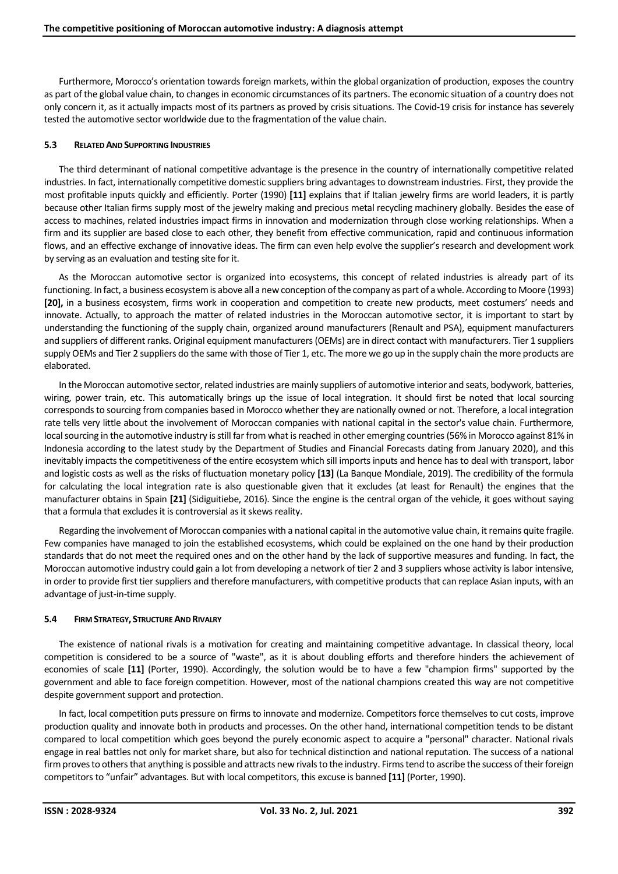Furthermore, Morocco's orientation towards foreign markets, within the global organization of production, exposes the country as part of the global value chain, to changes in economic circumstances of its partners. The economic situation of a country does not only concern it, as it actually impacts most of its partners as proved by crisis situations. The Covid-19 crisis for instance has severely tested the automotive sector worldwide due to the fragmentation of the value chain.

## **5.3 RELATED AND SUPPORTING INDUSTRIES**

The third determinant of national competitive advantage is the presence in the country of internationally competitive related industries. In fact, internationally competitive domestic suppliers bring advantages to downstream industries. First, they provide the most profitable inputs quickly and efficiently. Porter (1990) **[11]** explains that if Italian jewelry firms are world leaders, it is partly because other Italian firms supply most of the jewelry making and precious metal recycling machinery globally. Besides the ease of access to machines, related industries impact firms in innovation and modernization through close working relationships. When a firm and its supplier are based close to each other, they benefit from effective communication, rapid and continuous information flows, and an effective exchange of innovative ideas. The firm can even help evolve the supplier's research and development work by serving as an evaluation and testing site for it.

As the Moroccan automotive sector is organized into ecosystems, this concept of related industries is already part of its functioning. In fact, a business ecosystem is above all a new conception of the company as part of a whole. According to Moore (1993) **[20],** in a business ecosystem, firms work in cooperation and competition to create new products, meet costumers' needs and innovate. Actually, to approach the matter of related industries in the Moroccan automotive sector, it is important to start by understanding the functioning of the supply chain, organized around manufacturers (Renault and PSA), equipment manufacturers and suppliers of different ranks. Original equipment manufacturers (OEMs) are in direct contact with manufacturers. Tier 1 suppliers supply OEMs and Tier 2 suppliers do the same with those of Tier 1, etc. The more we go up in the supply chain the more products are elaborated.

In the Moroccan automotive sector, related industries are mainly suppliers of automotive interior and seats, bodywork, batteries, wiring, power train, etc. This automatically brings up the issue of local integration. It should first be noted that local sourcing corresponds to sourcing from companies based in Morocco whether they are nationally owned or not. Therefore, a local integration rate tells very little about the involvement of Moroccan companies with national capital in the sector's value chain. Furthermore, local sourcing in the automotive industry is still far from what is reached in other emerging countries (56% in Morocco against 81% in Indonesia according to the latest study by the Department of Studies and Financial Forecasts dating from January 2020), and this inevitably impacts the competitiveness of the entire ecosystem which sill imports inputs and hence has to deal with transport, labor and logistic costs as well as the risks of fluctuation monetary policy **[13]** (La Banque Mondiale, 2019). The credibility of the formula for calculating the local integration rate is also questionable given that it excludes (at least for Renault) the engines that the manufacturer obtains in Spain **[21]** (Sidiguitiebe, 2016). Since the engine is the central organ of the vehicle, it goes without saying that a formula that excludes it is controversial as it skews reality.

Regarding the involvement of Moroccan companies with a national capital in the automotive value chain, it remains quite fragile. Few companies have managed to join the established ecosystems, which could be explained on the one hand by their production standards that do not meet the required ones and on the other hand by the lack of supportive measures and funding. In fact, the Moroccan automotive industry could gain a lot from developing a network of tier 2 and 3 suppliers whose activity is labor intensive, in order to provide first tier suppliers and therefore manufacturers, with competitive products that can replace Asian inputs, with an advantage of just-in-time supply.

## **5.4 FIRM STRATEGY, STRUCTURE AND RIVALRY**

The existence of national rivals is a motivation for creating and maintaining competitive advantage. In classical theory, local competition is considered to be a source of "waste", as it is about doubling efforts and therefore hinders the achievement of economies of scale **[11]** (Porter, 1990). Accordingly, the solution would be to have a few "champion firms" supported by the government and able to face foreign competition. However, most of the national champions created this way are not competitive despite government support and protection.

In fact, local competition puts pressure on firms to innovate and modernize. Competitors force themselves to cut costs, improve production quality and innovate both in products and processes. On the other hand, international competition tends to be distant compared to local competition which goes beyond the purely economic aspect to acquire a "personal" character. National rivals engage in real battles not only for market share, but also for technical distinction and national reputation. The success of a national firm proves to others that anything is possible and attracts new rivals to the industry. Firms tend to ascribe the success of their foreign competitors to "unfair" advantages. But with local competitors, this excuse is banned **[11]** (Porter, 1990).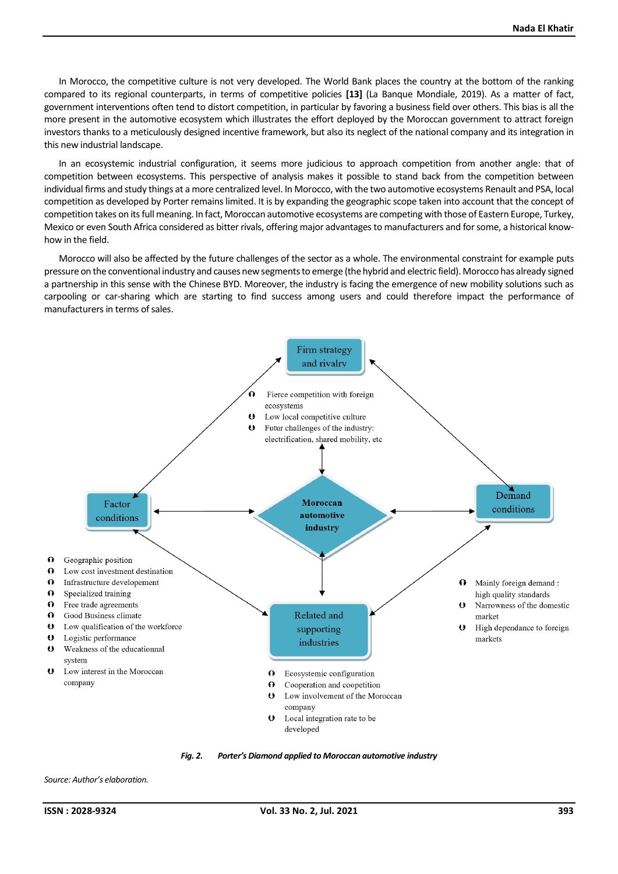In Morocco, the competitive culture is not very developed. The World Bank places the country at the bottom of the ranking compared to its regional counterparts, in terms of competitive policies **[13]** (La Banque Mondiale, 2019). As a matter of fact, government interventions often tend to distort competition, in particular by favoring a business field over others. This bias is all the more present in the automotive ecosystem which illustrates the effort deployed by the Moroccan government to attract foreign investors thanks to a meticulously designed incentive framework, but also its neglect of the national company and its integration in this new industrial landscape.

In an ecosystemic industrial configuration, it seems more judicious to approach competition from another angle: that of competition between ecosystems. This perspective of analysis makes it possible to stand back from the competition between individual firms and study things at a more centralized level. In Morocco, with the two automotive ecosystems Renault and PSA, local competition as developed by Porter remains limited. It is by expanding the geographic scope taken into account that the concept of competition takes on its full meaning. In fact, Moroccan automotive ecosystems are competing with those of Eastern Europe, Turkey, Mexico or even South Africa considered as bitter rivals, offering major advantages to manufacturers and for some, a historical knowhow in the field.

Morocco will also be affected by the future challenges of the sector as a whole. The environmental constraint for example puts pressure on the conventional industry and causes new segments to emerge (the hybrid and electric field). Morocco has already signed a partnership in this sense with the Chinese BYD. Moreover, the industry is facing the emergence of new mobility solutions such as carpooling or car-sharing which are starting to find success among users and could therefore impact the performance of manufacturers in terms of sales.



*Fig. 2. Porter's Diamond applied to Moroccan automotive industry*

*Source: Author's elaboration.*